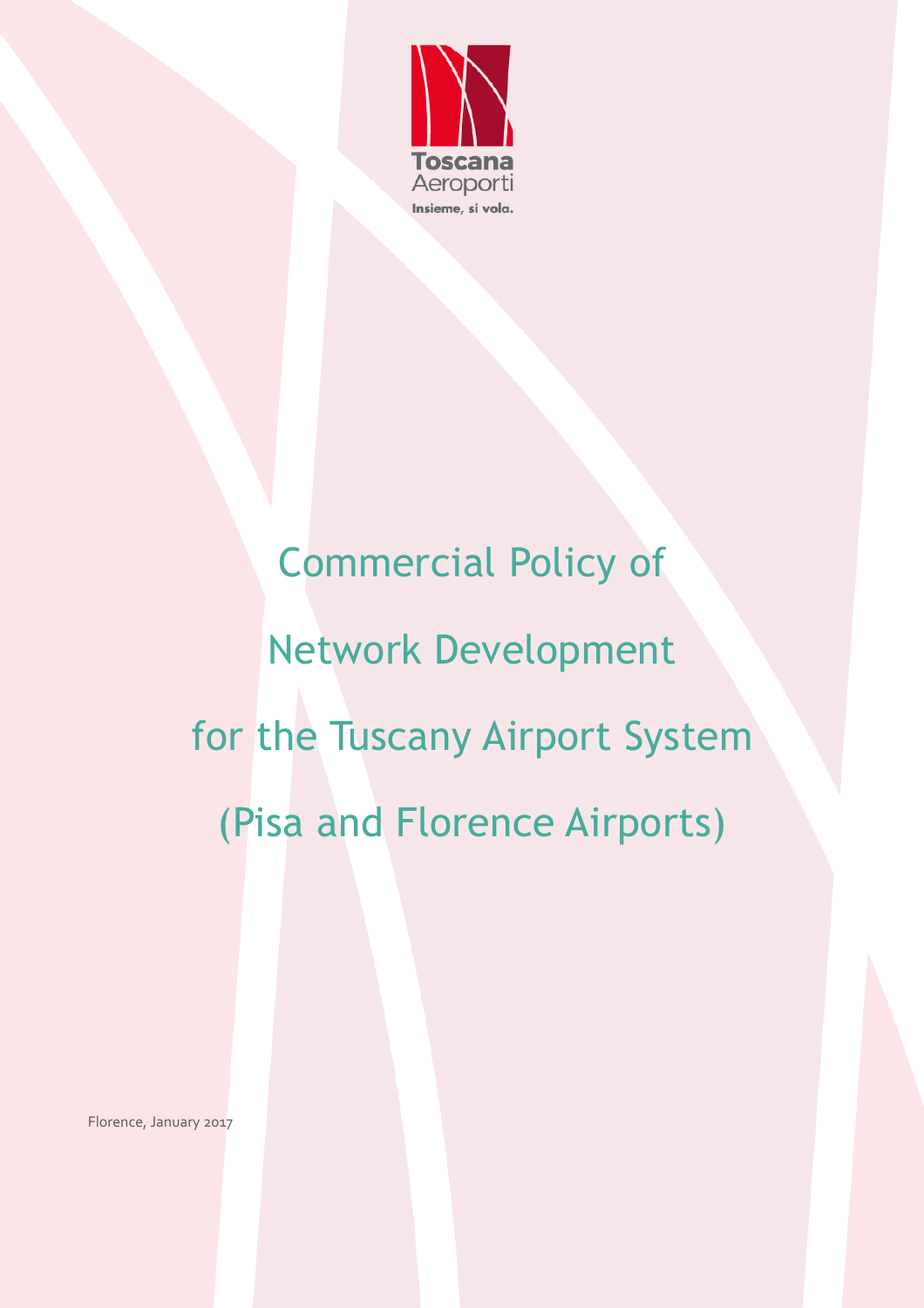

# Commercial Policy of Network Development for the Tuscany Airport System (Pisa and Florence Airports)

Florence, January 2017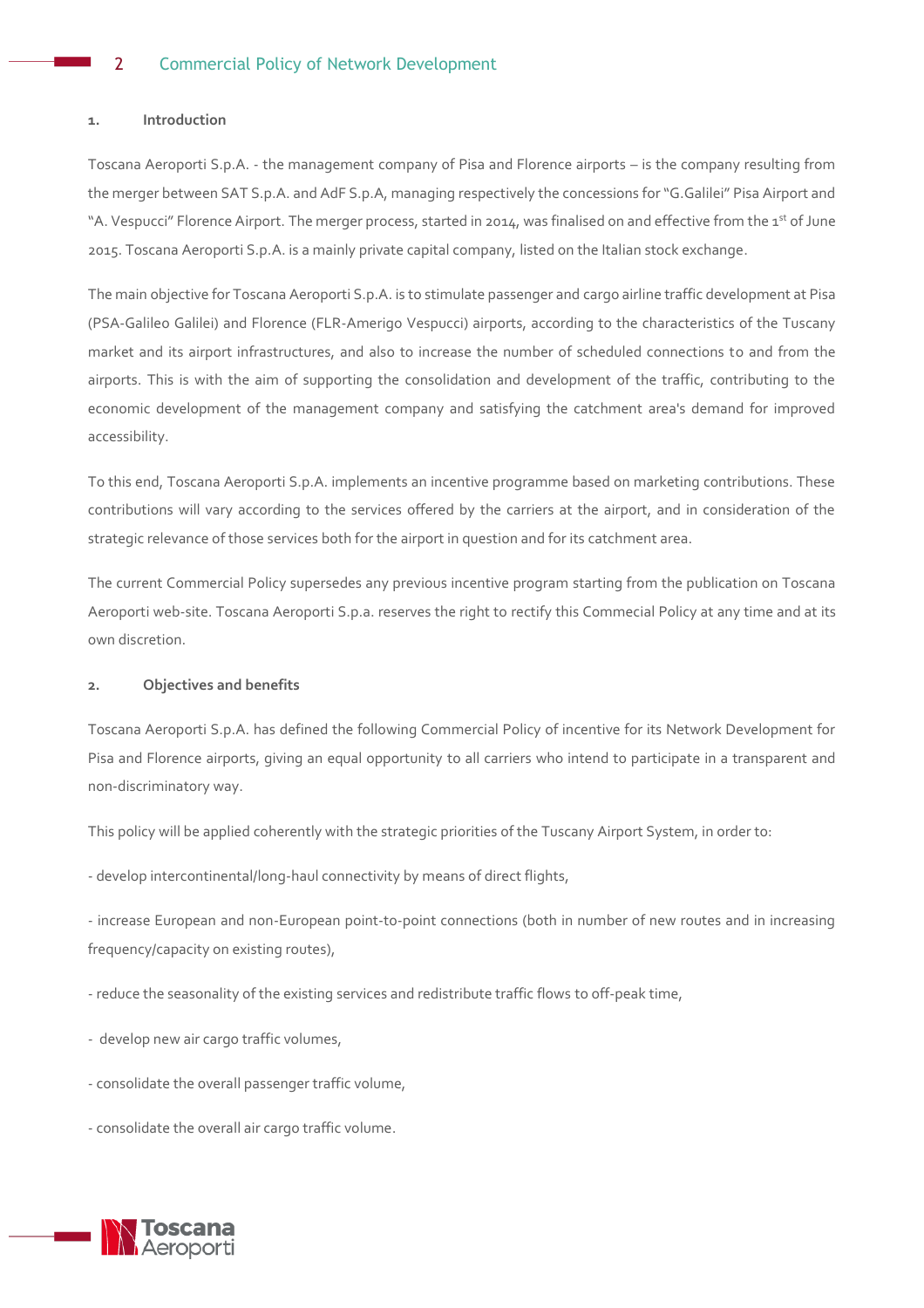# **1. Introduction**

Toscana Aeroporti S.p.A. - the management company of Pisa and Florence airports – is the company resulting from the merger between SAT S.p.A. and AdF S.p.A, managing respectively the concessions for "G.Galilei" Pisa Airport and "A. Vespucci" Florence Airport. The merger process, started in 2014, was finalised on and effective from the 1<sup>st</sup> of June 2015. Toscana Aeroporti S.p.A. is a mainly private capital company, listed on the Italian stock exchange.

The main objective for Toscana Aeroporti S.p.A. is to stimulate passenger and cargo airline traffic development at Pisa (PSA-Galileo Galilei) and Florence (FLR-Amerigo Vespucci) airports, according to the characteristics of the Tuscany market and its airport infrastructures, and also to increase the number of scheduled connections to and from the airports. This is with the aim of supporting the consolidation and development of the traffic, contributing to the economic development of the management company and satisfying the catchment area's demand for improved accessibility.

To this end, Toscana Aeroporti S.p.A. implements an incentive programme based on marketing contributions. These contributions will vary according to the services offered by the carriers at the airport, and in consideration of the strategic relevance of those services both for the airport in question and for its catchment area.

The current Commercial Policy supersedes any previous incentive program starting from the publication on Toscana Aeroporti web-site. Toscana Aeroporti S.p.a. reserves the right to rectify this Commecial Policy at any time and at its own discretion.

# **2. Objectives and benefits**

Toscana Aeroporti S.p.A. has defined the following Commercial Policy of incentive for its Network Development for Pisa and Florence airports, giving an equal opportunity to all carriers who intend to participate in a transparent and non-discriminatory way.

This policy will be applied coherently with the strategic priorities of the Tuscany Airport System, in order to:

- develop intercontinental/long-haul connectivity by means of direct flights,

- increase European and non-European point-to-point connections (both in number of new routes and in increasing frequency/capacity on existing routes),

- reduce the seasonality of the existing services and redistribute traffic flows to off-peak time,

- develop new air cargo traffic volumes,

- consolidate the overall passenger traffic volume,

- consolidate the overall air cargo traffic volume.

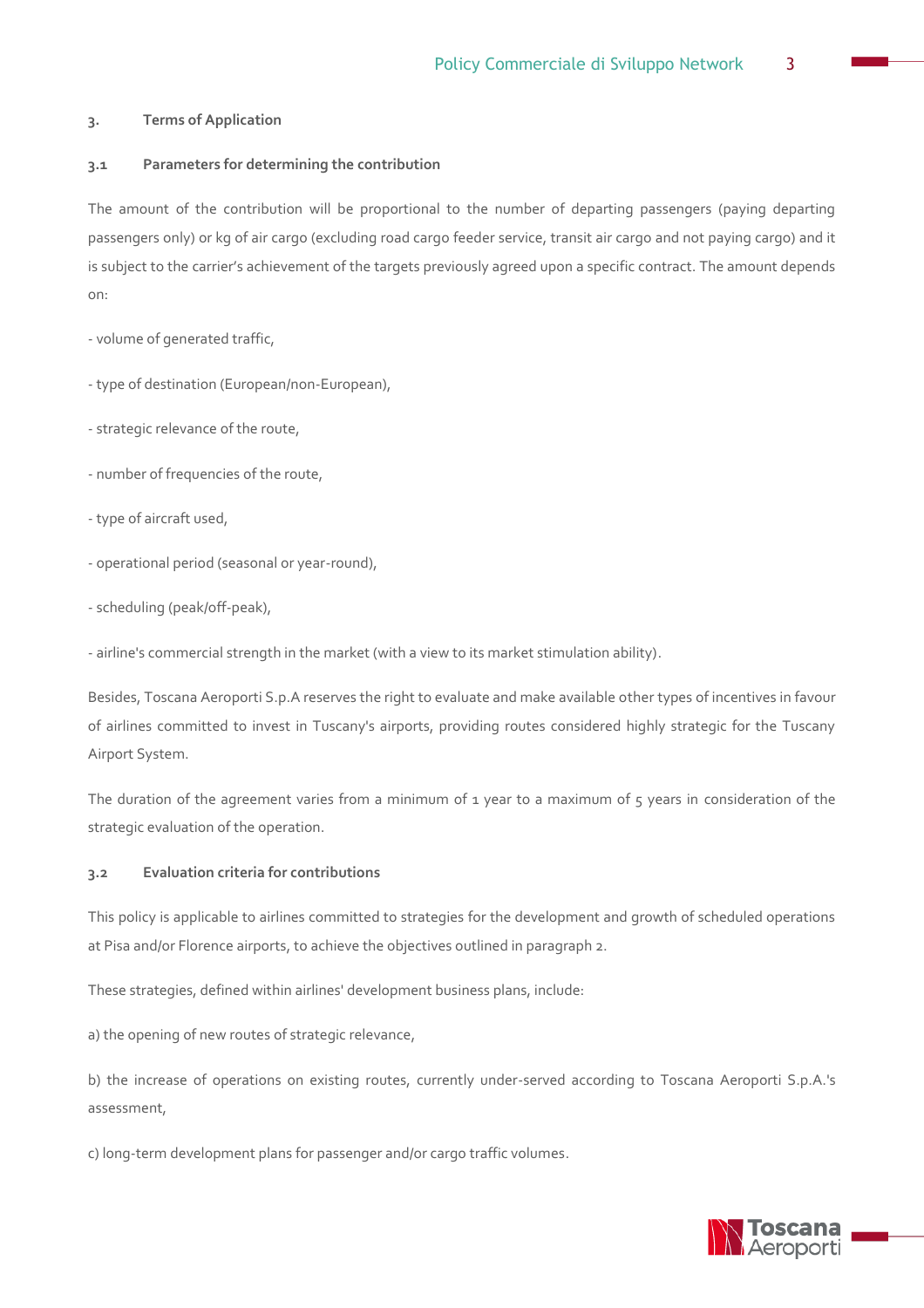# **3. Terms of Application**

# **3.1 Parameters for determining the contribution**

The amount of the contribution will be proportional to the number of departing passengers (paying departing passengers only) or kg of air cargo (excluding road cargo feeder service, transit air cargo and not paying cargo) and it is subject to the carrier's achievement of the targets previously agreed upon a specific contract. The amount depends on:

- volume of generated traffic,

- type of destination (European/non-European),

- strategic relevance of the route,
- number of frequencies of the route,
- type of aircraft used,
- operational period (seasonal or year-round),
- scheduling (peak/off-peak),

- airline's commercial strength in the market (with a view to its market stimulation ability).

Besides, Toscana Aeroporti S.p.A reserves the right to evaluate and make available other types of incentives in favour of airlines committed to invest in Tuscany's airports, providing routes considered highly strategic for the Tuscany Airport System.

The duration of the agreement varies from a minimum of 1 year to a maximum of 5 years in consideration of the strategic evaluation of the operation.

### **3.2 Evaluation criteria for contributions**

This policy is applicable to airlines committed to strategies for the development and growth of scheduled operations at Pisa and/or Florence airports, to achieve the objectives outlined in paragraph 2.

These strategies, defined within airlines' development business plans, include:

a) the opening of new routes of strategic relevance,

b) the increase of operations on existing routes, currently under-served according to Toscana Aeroporti S.p.A.'s assessment,

c) long-term development plans for passenger and/or cargo traffic volumes.

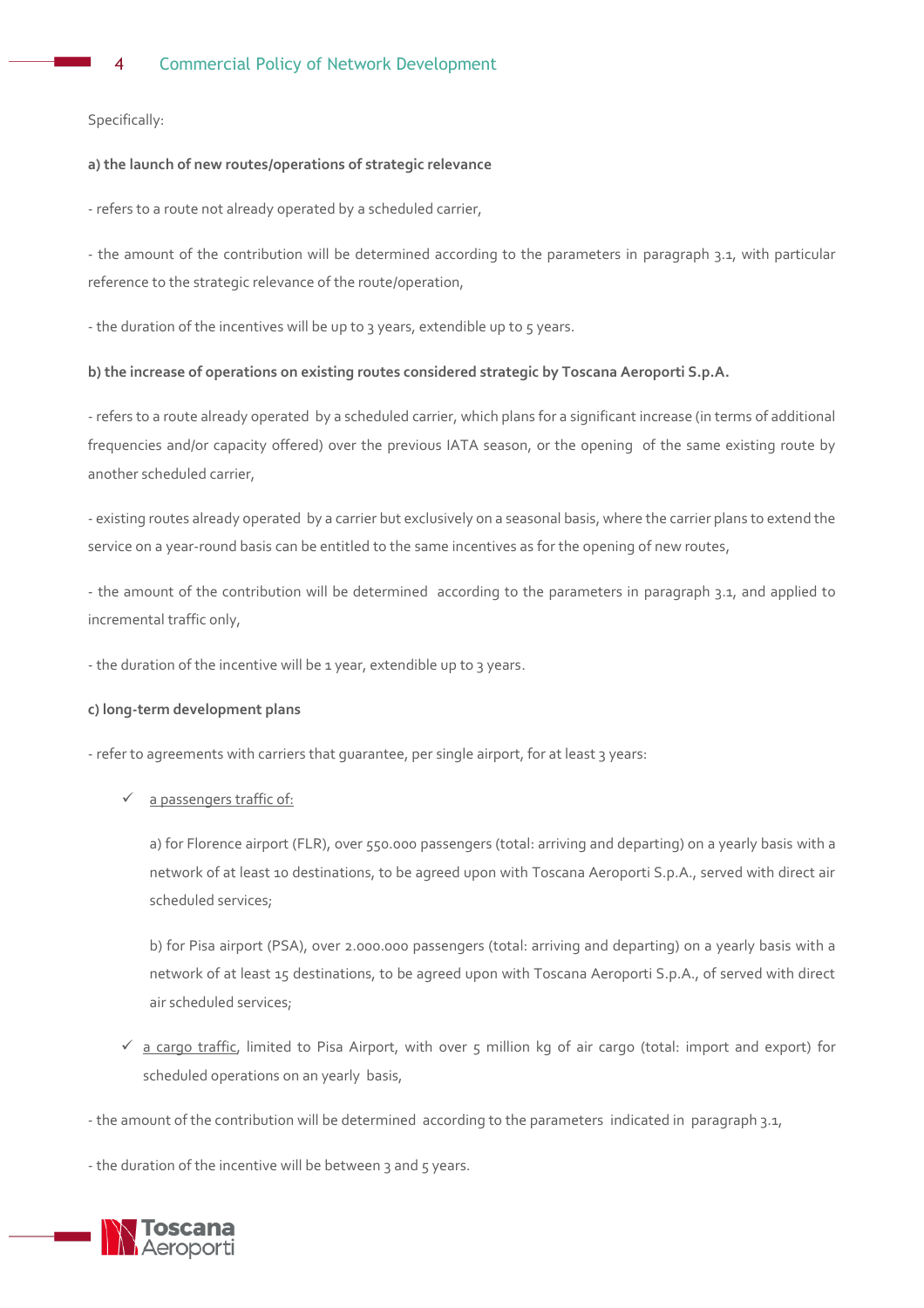Specifically:

# **a) the launch of new routes/operations of strategic relevance**

- refers to a route not already operated by a scheduled carrier,

- the amount of the contribution will be determined according to the parameters in paragraph 3.1, with particular reference to the strategic relevance of the route/operation,

- the duration of the incentives will be up to 3 years, extendible up to 5 years.

# **b) the increase of operations on existing routes considered strategic by Toscana Aeroporti S.p.A.**

- refers to a route already operated by a scheduled carrier, which plans for a significant increase (in terms of additional frequencies and/or capacity offered) over the previous IATA season, or the opening of the same existing route by another scheduled carrier,

- existing routes already operated by a carrier but exclusively on a seasonal basis, where the carrier plans to extend the service on a year-round basis can be entitled to the same incentives as for the opening of new routes,

- the amount of the contribution will be determined according to the parameters in paragraph 3.1, and applied to incremental traffic only,

- the duration of the incentive will be 1 year, extendible up to 3 years.

#### **c) long-term development plans**

- refer to agreements with carriers that guarantee, per single airport, for at least 3 years:

a passengers traffic of:

a) for Florence airport (FLR), over 550.000 passengers (total: arriving and departing) on a yearly basis with a network of at least 10 destinations, to be agreed upon with Toscana Aeroporti S.p.A., served with direct air scheduled services;

b) for Pisa airport (PSA), over 2.000.000 passengers (total: arriving and departing) on a yearly basis with a network of at least 15 destinations, to be agreed upon with Toscana Aeroporti S.p.A., of served with direct air scheduled services;

- $\checkmark$  a cargo traffic, limited to Pisa Airport, with over 5 million kg of air cargo (total: import and export) for scheduled operations on an yearly basis,
- the amount of the contribution will be determined according to the parameters indicated in paragraph 3.1,

- the duration of the incentive will be between 3 and 5 years.

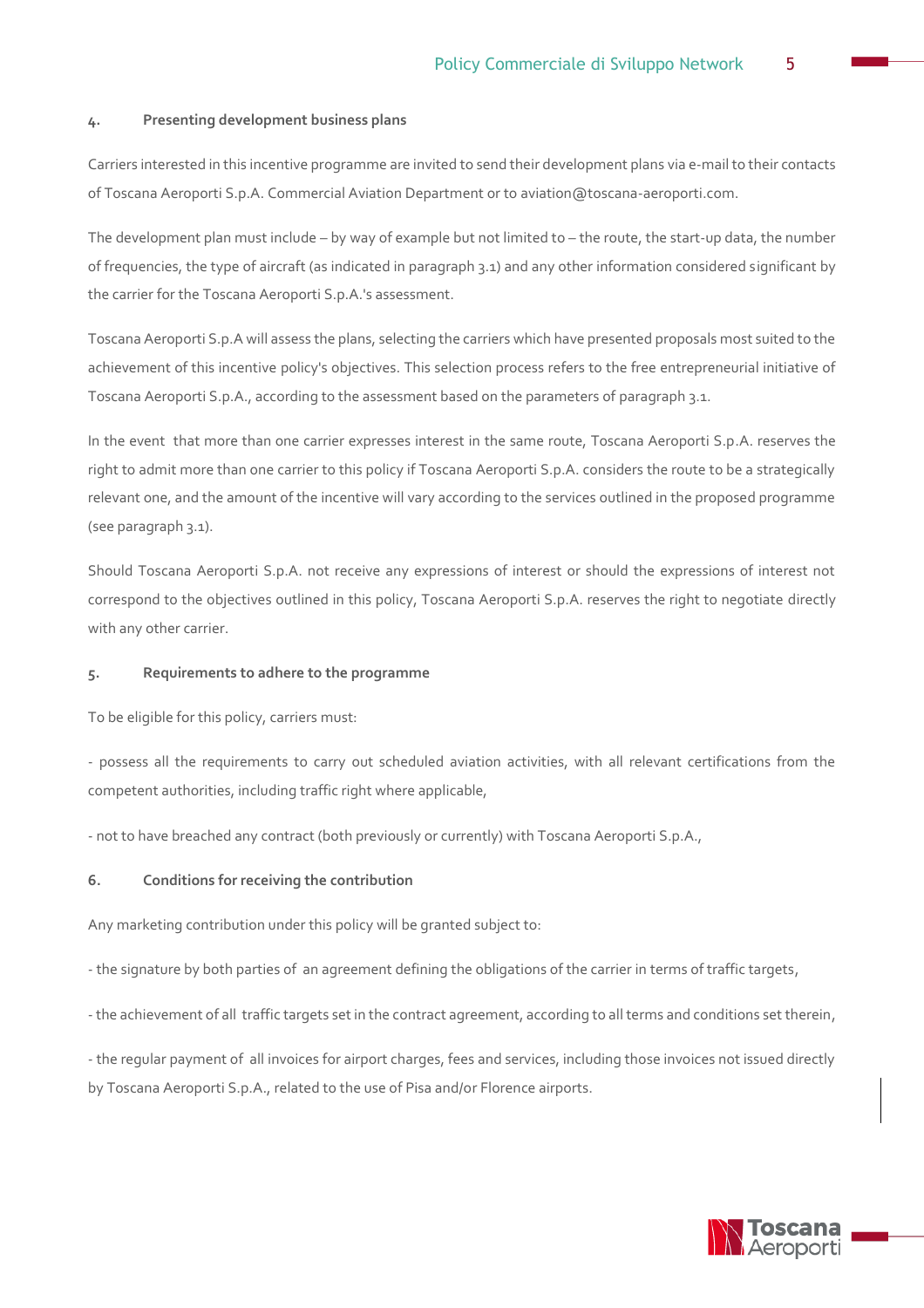#### **4. Presenting development business plans**

Carriers interested in this incentive programme are invited to send their development plans via e-mail to their contacts of Toscana Aeroporti S.p.A. Commercial Aviation Department or to aviation@toscana-aeroporti.com.

The development plan must include – by way of example but not limited to – the route, the start-up data, the number of frequencies, the type of aircraft (as indicated in paragraph 3.1) and any other information considered significant by the carrier for the Toscana Aeroporti S.p.A.'s assessment.

Toscana Aeroporti S.p.A will assess the plans, selecting the carriers which have presented proposals most suited to the achievement of this incentive policy's objectives. This selection process refers to the free entrepreneurial initiative of Toscana Aeroporti S.p.A., according to the assessment based on the parameters of paragraph 3.1.

In the event that more than one carrier expresses interest in the same route, Toscana Aeroporti S.p.A. reserves the right to admit more than one carrier to this policy if Toscana Aeroporti S.p.A. considers the route to be a strategically relevant one, and the amount of the incentive will vary according to the services outlined in the proposed programme (see paragraph 3.1).

Should Toscana Aeroporti S.p.A. not receive any expressions of interest or should the expressions of interest not correspond to the objectives outlined in this policy, Toscana Aeroporti S.p.A. reserves the right to negotiate directly with any other carrier.

## **5. Requirements to adhere to the programme**

To be eligible for this policy, carriers must:

- possess all the requirements to carry out scheduled aviation activities, with all relevant certifications from the competent authorities, including traffic right where applicable,

- not to have breached any contract (both previously or currently) with Toscana Aeroporti S.p.A.,

# **6. Conditions for receiving the contribution**

Any marketing contribution under this policy will be granted subject to:

- the signature by both parties of an agreement defining the obligations of the carrier in terms of traffic targets,

- the achievement of all traffic targets set in the contract agreement, according to all terms and conditions set therein,

- the regular payment of all invoices for airport charges, fees and services, including those invoices not issued directly by Toscana Aeroporti S.p.A., related to the use of Pisa and/or Florence airports.